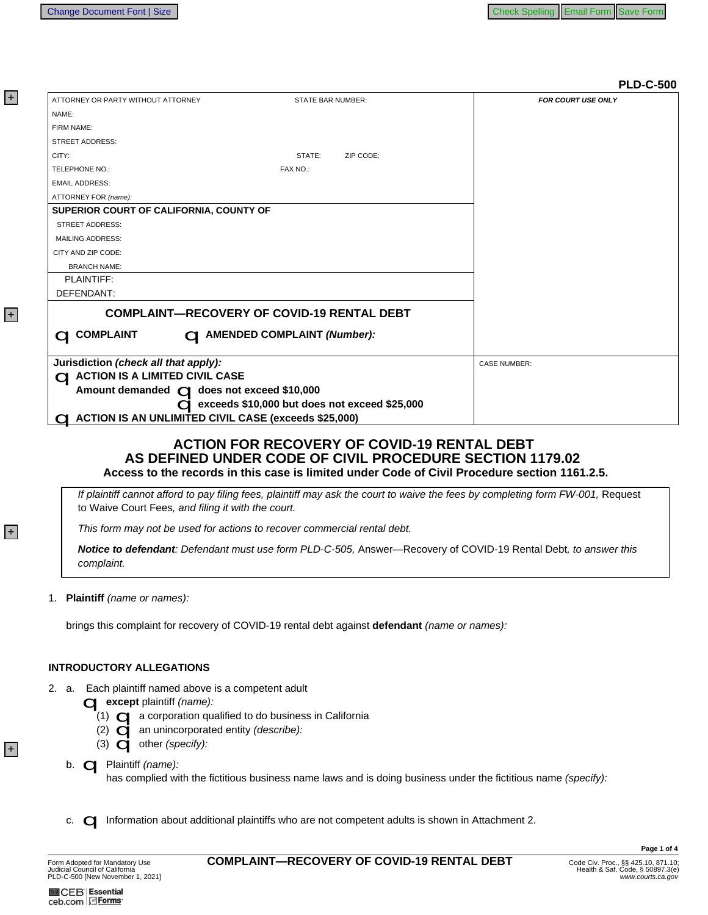| ATTORNEY OR PARTY WITHOUT ATTORNEY                          | <b>STATE BAR NUMBER:</b>                          | <b>FOR COURT USE ONLY</b> |
|-------------------------------------------------------------|---------------------------------------------------|---------------------------|
| NAME:                                                       |                                                   |                           |
| FIRM NAME:                                                  |                                                   |                           |
| <b>STREET ADDRESS:</b>                                      |                                                   |                           |
| CITY:                                                       | STATE:<br>ZIP CODE:                               |                           |
| TELEPHONE NO.:                                              | FAX NO.:                                          |                           |
| <b>EMAIL ADDRESS:</b>                                       |                                                   |                           |
| ATTORNEY FOR (name):                                        |                                                   |                           |
| SUPERIOR COURT OF CALIFORNIA, COUNTY OF                     |                                                   |                           |
| <b>STREET ADDRESS:</b>                                      |                                                   |                           |
| <b>MAILING ADDRESS:</b>                                     |                                                   |                           |
| CITY AND ZIP CODE:                                          |                                                   |                           |
| <b>BRANCH NAME:</b>                                         |                                                   |                           |
| PLAINTIFF:                                                  |                                                   |                           |
| DEFENDANT:                                                  |                                                   |                           |
|                                                             | <b>COMPLAINT-RECOVERY OF COVID-19 RENTAL DEBT</b> |                           |
| <b>COMPLAINT</b><br>$\bigcap$                               | <b>CI AMENDED COMPLAINT (Number):</b>             |                           |
| Jurisdiction (check all that apply):                        |                                                   | <b>CASE NUMBER:</b>       |
| $\bigcirc$ ACTION IS A LIMITED CIVIL CASE                   |                                                   |                           |
| Amount demanded C does not exceed \$10,000                  |                                                   |                           |
|                                                             | C exceeds \$10,000 but does not exceed \$25,000   |                           |
| <b>ACTION IS AN UNLIMITED CIVIL CASE (exceeds \$25,000)</b> |                                                   |                           |

## **ACTION FOR RECOVERY OF COVID-19 RENTAL DEBT** AS DEFINED UNDER CODE OF CIVIL PROCEDURE SECTION 1179.02 Access to the records in this case is limited under Code of Civil Procedure section 1161.2.5.

If plaintiff cannot afford to pay filing fees, plaintiff may ask the court to waive the fees by completing form FW-001, Request to Waive Court Fees, and filing it with the court.

This form may not be used for actions to recover commercial rental debt.

Notice to defendant: Defendant must use form PLD-C-505, Answer-Recovery of COVID-19 Rental Debt, to answer this complaint.

1. Plaintiff (name or names):

brings this complaint for recovery of COVID-19 rental debt against defendant (name or names):

## **INTRODUCTORY ALLEGATIONS**

2. a. Each plaintiff named above is a competent adult

**C** except plaintiff (name):

- $(1)$   $\Box$  a corporation qualified to do business in California
- (2)  $\Box$  an unincorporated entity (describe):
- (3)  $\bigcirc$  other (specify):
- b. **Q** Plaintiff (name):

has complied with the fictitious business name laws and is doing business under the fictitious name (specify):

c. <a>
Information about additional plaintiffs who are not competent adults is shown in Attachment 2.

**M** CEB | Essential ceb.com Forms

Page 1 of 4

 $|+|$ 

 $|+|$ 

 $\vert + \vert$ 

 $\vert + \vert$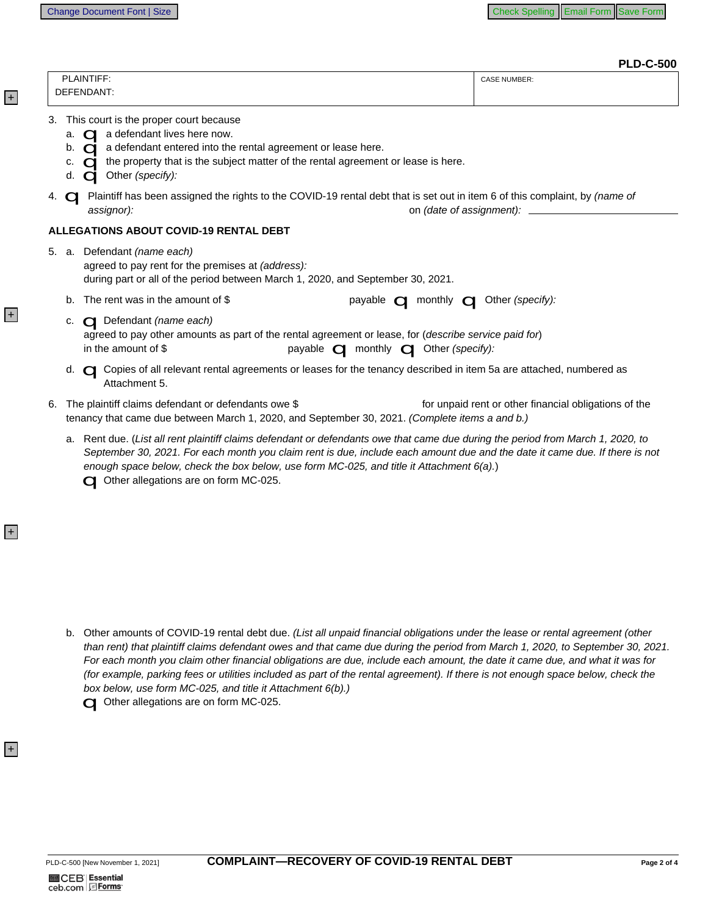**PLD-C-500** 

| PLAINTIFF:                                                                                                                                                                                                                                                                                                                                                       | <b>CASE NUMBER:</b>                                   |
|------------------------------------------------------------------------------------------------------------------------------------------------------------------------------------------------------------------------------------------------------------------------------------------------------------------------------------------------------------------|-------------------------------------------------------|
| DEFENDANT:                                                                                                                                                                                                                                                                                                                                                       |                                                       |
| This court is the proper court because<br>3.<br>a. $\bigcirc$ a defendant lives here now.<br>b. $\Box$ a defendant entered into the rental agreement or lease here.<br>c. $\bigcirc$ the property that is the subject matter of the rental agreement or lease is here.<br>d. $\bigcirc$ Other (specify):                                                         |                                                       |
| 4. <b>O Plaintiff has been assigned the rights to the COVID-19 rental debt that is set out in item 6 of this complaint, by (name of</b><br>assignor):                                                                                                                                                                                                            |                                                       |
| <b>ALLEGATIONS ABOUT COVID-19 RENTAL DEBT</b>                                                                                                                                                                                                                                                                                                                    |                                                       |
| 5. a. Defendant (name each)<br>agreed to pay rent for the premises at (address):<br>during part or all of the period between March 1, 2020, and September 30, 2021.                                                                                                                                                                                              |                                                       |
| b. The rent was in the amount of \$<br>payable <b>Q</b> monthly <b>Q</b> Other (specify):                                                                                                                                                                                                                                                                        |                                                       |
| c. C Defendant (name each)<br>agreed to pay other amounts as part of the rental agreement or lease, for (describe service paid for)<br>in the amount of \$<br>payable <b>Q</b> monthly <b>Q</b> Other (specify):                                                                                                                                                 |                                                       |
| d. Copies of all relevant rental agreements or leases for the tenancy described in item 5a are attached, numbered as<br>Attachment 5.                                                                                                                                                                                                                            |                                                       |
| The plaintiff claims defendant or defendants owe \$<br>6.<br>tenancy that came due between March 1, 2020, and September 30, 2021. (Complete items a and b.)                                                                                                                                                                                                      | for unpaid rent or other financial obligations of the |
| a. Rent due. (List all rent plaintiff claims defendant or defendants owe that came due during the period from March 1, 2020, to<br>September 30, 2021. For each month you claim rent is due, include each amount due and the date it came due. If there is not<br>enough space below, check the box below, use form $MC-025$ , and title it Attachment $6(a)$ .) |                                                       |

Other allegations are on form MC-025.

b. Other amounts of COVID-19 rental debt due. (List all unpaid financial obligations under the lease or rental agreement (other than rent) that plaintiff claims defendant owes and that came due during the period from March 1, 2020, to September 30, 2021. For each month you claim other financial obligations are due, include each amount, the date it came due, and what it was for (for example, parking fees or utilities included as part of the rental agreement). If there is not enough space below, check the box below, use form MC-025, and title it Attachment 6(b).) Other allegations are on form MC-025.

 $\overline{+}$ 

 $\overline{+}$ 

 $|+|$ 

 $|+|$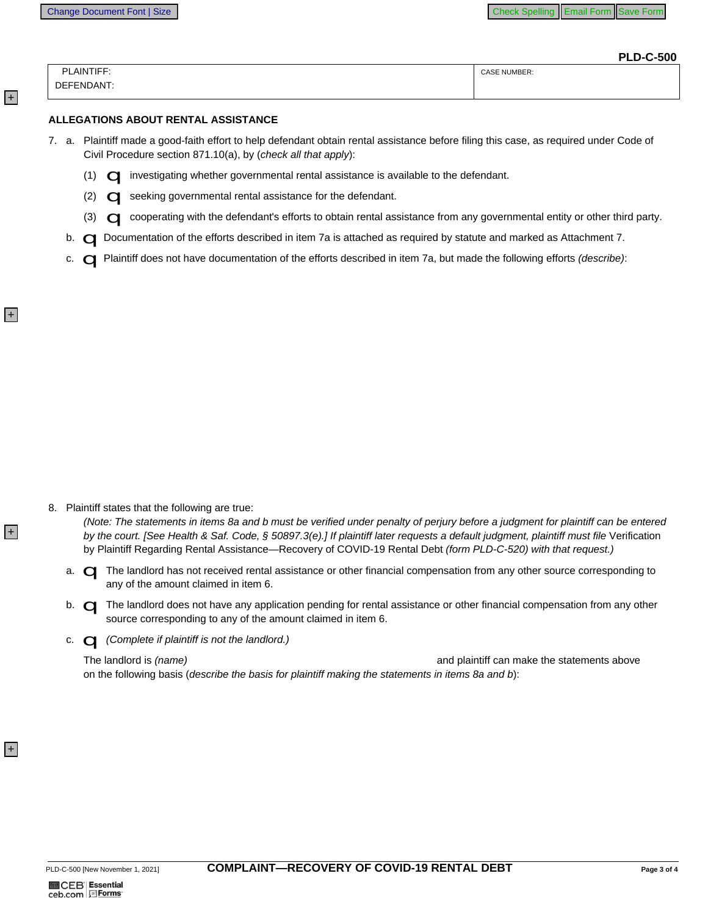$|+|$ 

 $\left| + \right|$ 

 $|+|$ 

 $\overline{+}$ 

|            | <b>PLD-C-500</b>    |
|------------|---------------------|
| PLAINTIFF: | <b>CASE NUMBER:</b> |
| DEFENDANT: |                     |
|            |                     |

## ALLEGATIONS ABOUT RENTAL ASSISTANCE

- 7. a. Plaintiff made a good-faith effort to help defendant obtain rental assistance before filing this case, as required under Code of Civil Procedure section 871.10(a), by (check all that apply):
	- (1) <a>
	O investigating whether governmental rental assistance is available to the defendant.
	- (2) **C** seeking governmental rental assistance for the defendant.
	- (3) C cooperating with the defendant's efforts to obtain rental assistance from any governmental entity or other third party.
	- b. **Q** Documentation of the efforts described in item 7a is attached as required by statute and marked as Attachment 7.
	- c. **O Plaintiff does not have documentation of the efforts described in item 7a, but made the following efforts (describe):**

8. Plaintiff states that the following are true:

(Note: The statements in items 8a and b must be verified under penalty of perjury before a judgment for plaintiff can be entered by the court. [See Health & Saf. Code, § 50897.3(e).] If plaintiff later requests a default judgment, plaintiff must file Verification by Plaintiff Regarding Rental Assistance-Recovery of COVID-19 Rental Debt (form PLD-C-520) with that request.)

- a. **O** The landlord has not received rental assistance or other financial compensation from any other source corresponding to any of the amount claimed in item 6.
- b. **Q** The landlord does not have any application pending for rental assistance or other financial compensation from any other source corresponding to any of the amount claimed in item 6.
- c.  $\Box$  (Complete if plaintiff is not the landlord.)

The landlord is (name) and plaintiff can make the statements above on the following basis (describe the basis for plaintiff making the statements in items 8a and b):